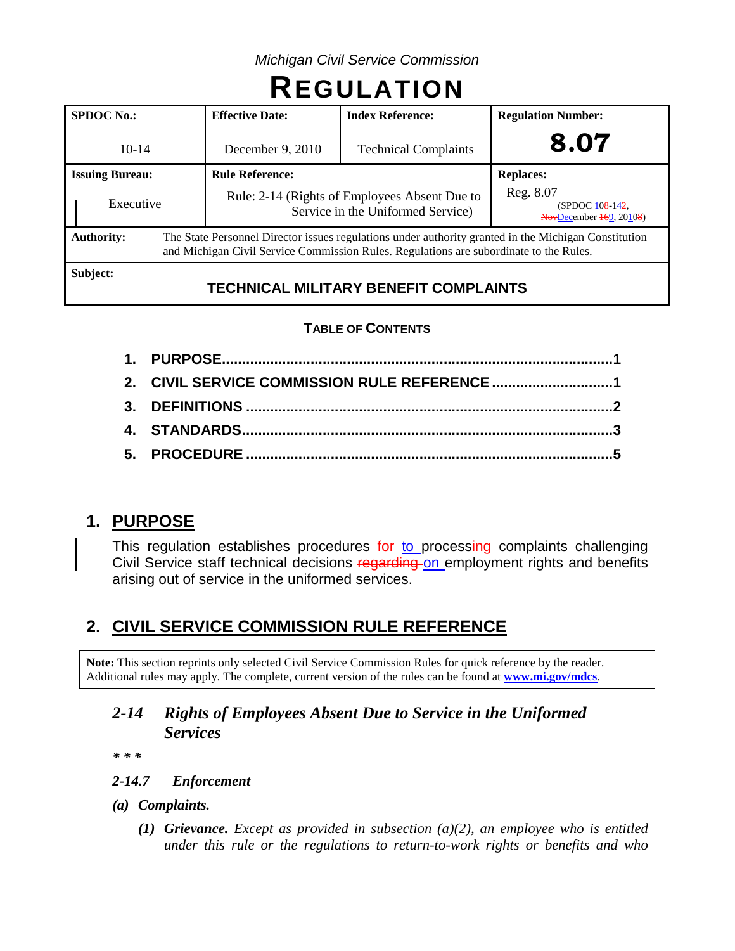*Michigan Civil Service Commission*

# **REGULATION**

| <b>SPDOC</b> No.:                                                                                                                                                                                                   | <b>Effective Date:</b>                                                             | <b>Index Reference:</b>     | <b>Regulation Number:</b>                               |  |
|---------------------------------------------------------------------------------------------------------------------------------------------------------------------------------------------------------------------|------------------------------------------------------------------------------------|-----------------------------|---------------------------------------------------------|--|
| $10 - 14$                                                                                                                                                                                                           | December 9, 2010                                                                   | <b>Technical Complaints</b> | 8.07                                                    |  |
| <b>Issuing Bureau:</b>                                                                                                                                                                                              | <b>Rule Reference:</b>                                                             |                             | <b>Replaces:</b>                                        |  |
| Executive                                                                                                                                                                                                           | Rule: 2-14 (Rights of Employees Absent Due to<br>Service in the Uniformed Service) |                             | Reg. 8.07<br>(SPDOC 108-142)<br>NovDecember 169, 20108) |  |
| The State Personnel Director issues regulations under authority granted in the Michigan Constitution<br><b>Authority:</b><br>and Michigan Civil Service Commission Rules. Regulations are subordinate to the Rules. |                                                                                    |                             |                                                         |  |
| Subject:                                                                                                                                                                                                            |                                                                                    |                             |                                                         |  |

# **TECHNICAL MILITARY BENEFIT COMPLAINTS**

# **TABLE OF CONTENTS**

| 2. CIVIL SERVICE COMMISSION RULE REFERENCE 1 |  |
|----------------------------------------------|--|
|                                              |  |
|                                              |  |
|                                              |  |
|                                              |  |

# **1. PURPOSE**

This regulation establishes procedures for to processing complaints challenging Civil Service staff technical decisions regarding on employment rights and benefits arising out of service in the uniformed services.

# **2. CIVIL SERVICE COMMISSION RULE REFERENCE**

**Note:** This section reprints only selected Civil Service Commission Rules for quick reference by the reader. Additional rules may apply. The complete, current version of the rules can be found at **[www.mi.gov/mdcs](http://www.mi.gov/mdcs)**.

# *2-14 Rights of Employees Absent Due to Service in the Uniformed Services*

*\* \* \**

#### *2-14.7 Enforcement*

- *(a) Complaints.*
	- *(1) Grievance. Except as provided in subsection (a)(2), an employee who is entitled under this rule or the regulations to return-to-work rights or benefits and who*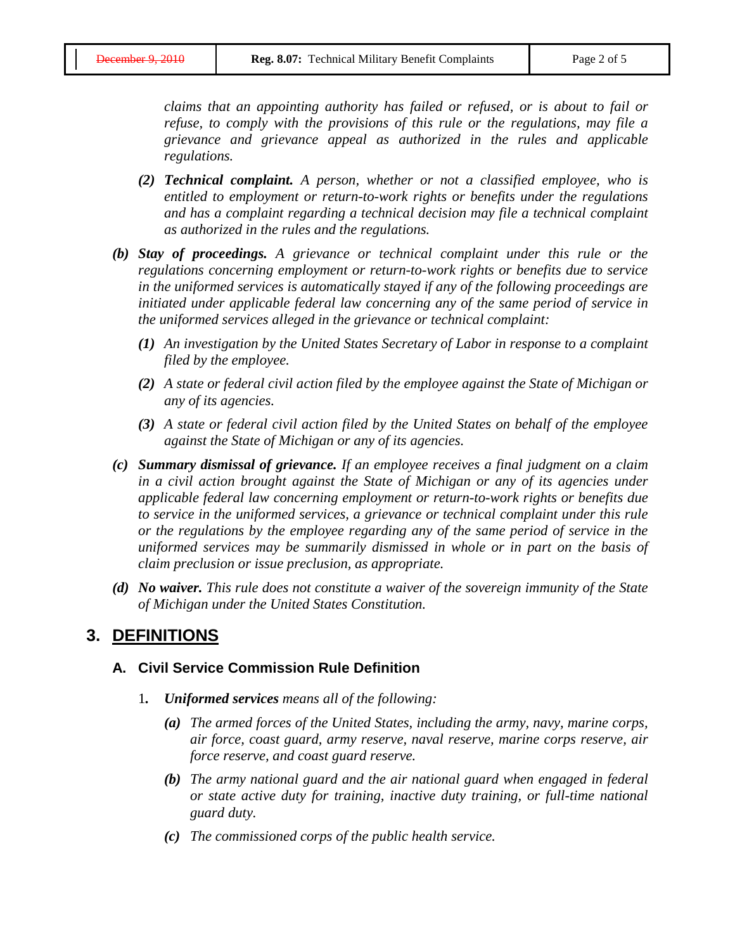*claims that an appointing authority has failed or refused, or is about to fail or refuse, to comply with the provisions of this rule or the regulations, may file a grievance and grievance appeal as authorized in the rules and applicable regulations.*

- *(2) Technical complaint. A person, whether or not a classified employee, who is entitled to employment or return-to-work rights or benefits under the regulations and has a complaint regarding a technical decision may file a technical complaint as authorized in the rules and the regulations.*
- *(b) Stay of proceedings. A grievance or technical complaint under this rule or the regulations concerning employment or return-to-work rights or benefits due to service in the uniformed services is automatically stayed if any of the following proceedings are initiated under applicable federal law concerning any of the same period of service in the uniformed services alleged in the grievance or technical complaint:*
	- *(1) An investigation by the United States Secretary of Labor in response to a complaint filed by the employee.*
	- *(2) A state or federal civil action filed by the employee against the State of Michigan or any of its agencies.*
	- *(3) A state or federal civil action filed by the United States on behalf of the employee against the State of Michigan or any of its agencies.*
- *(c) Summary dismissal of grievance. If an employee receives a final judgment on a claim in a civil action brought against the State of Michigan or any of its agencies under applicable federal law concerning employment or return-to-work rights or benefits due to service in the uniformed services, a grievance or technical complaint under this rule or the regulations by the employee regarding any of the same period of service in the uniformed services may be summarily dismissed in whole or in part on the basis of claim preclusion or issue preclusion, as appropriate.*
- *(d) No waiver. This rule does not constitute a waiver of the sovereign immunity of the State of Michigan under the United States Constitution.*

#### **3. DEFINITIONS**

#### **A. Civil Service Commission Rule Definition**

- 1*. Uniformed services means all of the following:*
	- *(a) The armed forces of the United States, including the army, navy, marine corps, air force, coast guard, army reserve, naval reserve, marine corps reserve, air force reserve, and coast guard reserve.*
	- *(b) The army national guard and the air national guard when engaged in federal or state active duty for training, inactive duty training, or full-time national guard duty.*
	- *(c) The commissioned corps of the public health service.*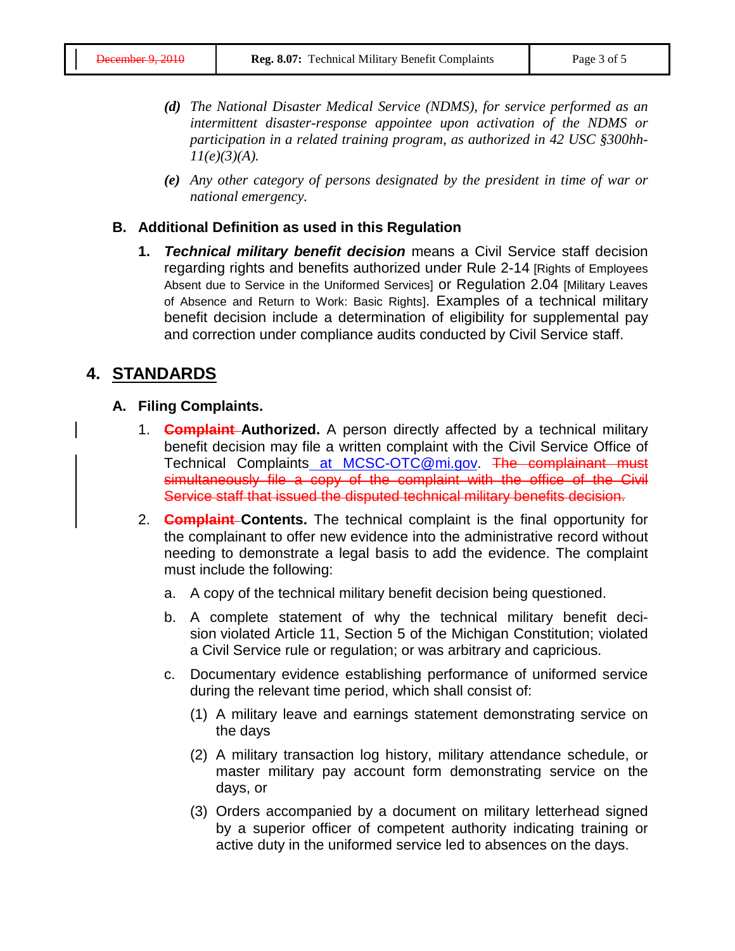- *(d) The National Disaster Medical Service (NDMS), for service performed as an intermittent disaster-response appointee upon activation of the NDMS or participation in a related training program, as authorized in 42 USC §300hh-11(e)(3)(A).*
- *(e) Any other category of persons designated by the president in time of war or national emergency.*

#### **B. Additional Definition as used in this Regulation**

**1.** *Technical military benefit decision* means a Civil Service staff decision regarding rights and benefits authorized under Rule 2-14 [Rights of Employees Absent due to Service in the Uniformed Services] or Regulation 2.04 [Military Leaves of Absence and Return to Work: Basic Rights]. Examples of a technical military benefit decision include a determination of eligibility for supplemental pay and correction under compliance audits conducted by Civil Service staff.

## **4. STANDARDS**

#### **A. Filing Complaints.**

- 1. **Complaint Authorized.** A person directly affected by a technical military benefit decision may file a written complaint with the Civil Service Office of Technical Complaints at MCSC-OTC@mi.gov. The complainant must simultaneously file a copy of the complaint with the office of the Civil Service staff that issued the disputed technical military benefits decision.
- 2. **Complaint Contents.** The technical complaint is the final opportunity for the complainant to offer new evidence into the administrative record without needing to demonstrate a legal basis to add the evidence. The complaint must include the following:
	- a. A copy of the technical military benefit decision being questioned.
	- b. A complete statement of why the technical military benefit decision violated Article 11, Section 5 of the Michigan Constitution; violated a Civil Service rule or regulation; or was arbitrary and capricious.
	- c. Documentary evidence establishing performance of uniformed service during the relevant time period, which shall consist of:
		- (1) A military leave and earnings statement demonstrating service on the days
		- (2) A military transaction log history, military attendance schedule, or master military pay account form demonstrating service on the days, or
		- (3) Orders accompanied by a document on military letterhead signed by a superior officer of competent authority indicating training or active duty in the uniformed service led to absences on the days.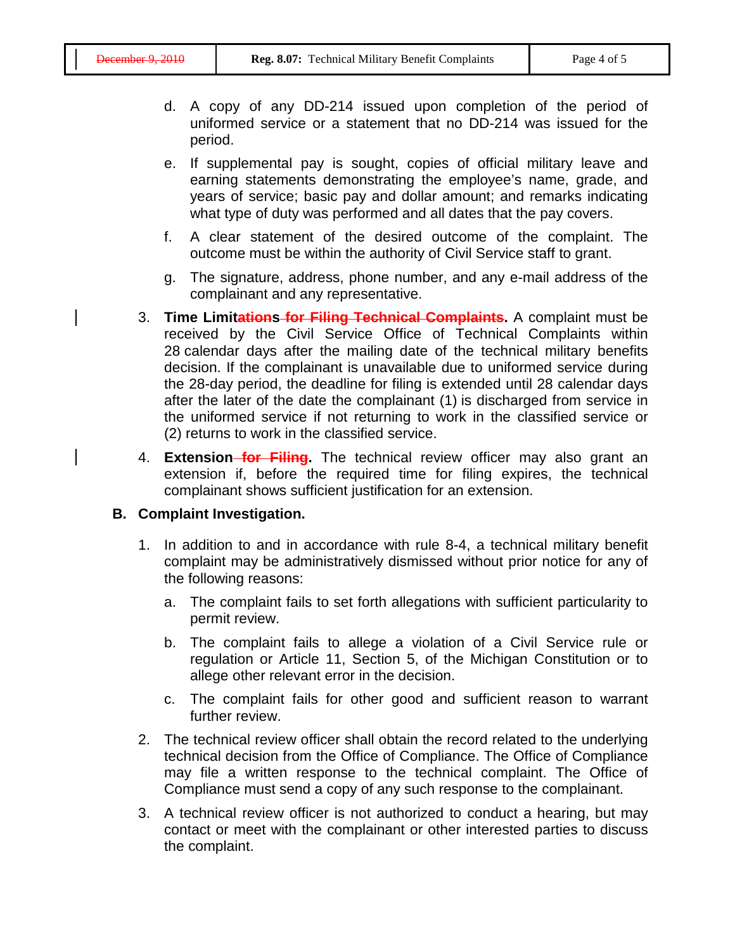- d. A copy of any DD-214 issued upon completion of the period of uniformed service or a statement that no DD-214 was issued for the period.
- e. If supplemental pay is sought, copies of official military leave and earning statements demonstrating the employee's name, grade, and years of service; basic pay and dollar amount; and remarks indicating what type of duty was performed and all dates that the pay covers.
- f. A clear statement of the desired outcome of the complaint. The outcome must be within the authority of Civil Service staff to grant.
- g. The signature, address, phone number, and any e-mail address of the complainant and any representative.
- 3. **Time Limitations for Filing Technical Complaints.** A complaint must be received by the Civil Service Office of Technical Complaints within 28 calendar days after the mailing date of the technical military benefits decision. If the complainant is unavailable due to uniformed service during the 28-day period, the deadline for filing is extended until 28 calendar days after the later of the date the complainant (1) is discharged from service in the uniformed service if not returning to work in the classified service or (2) returns to work in the classified service.
- 4. **Extension for Filing.** The technical review officer may also grant an extension if, before the required time for filing expires, the technical complainant shows sufficient justification for an extension.

#### **B. Complaint Investigation.**

- 1. In addition to and in accordance with rule 8-4, a technical military benefit complaint may be administratively dismissed without prior notice for any of the following reasons:
	- a. The complaint fails to set forth allegations with sufficient particularity to permit review.
	- b. The complaint fails to allege a violation of a Civil Service rule or regulation or Article 11, Section 5, of the Michigan Constitution or to allege other relevant error in the decision.
	- c. The complaint fails for other good and sufficient reason to warrant further review.
- 2. The technical review officer shall obtain the record related to the underlying technical decision from the Office of Compliance. The Office of Compliance may file a written response to the technical complaint. The Office of Compliance must send a copy of any such response to the complainant.
- 3. A technical review officer is not authorized to conduct a hearing, but may contact or meet with the complainant or other interested parties to discuss the complaint.